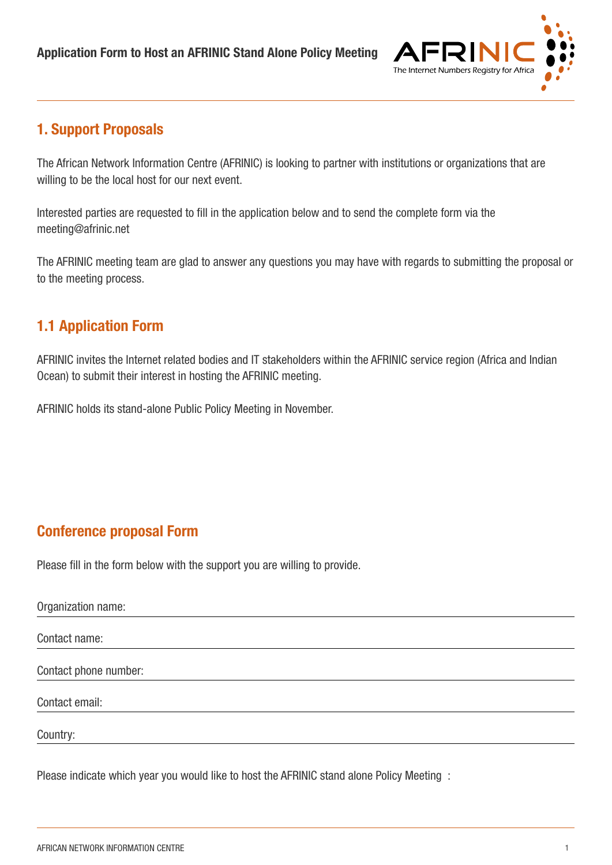

## 1. Support Proposals

The African Network Information Centre (AFRINIC) is looking to partner with institutions or organizations that are willing to be the local host for our next event.

Interested parties are requested to fill in the application below and to send the complete form via the [meeting@afrinic.net](mailto:meeting@afrinic.net)

The AFRINIC meeting team are glad to answer any questions you may have with regards to submitting the proposal or to the meeting process.

## 1.1 Application Form

AFRINIC invites the Internet related bodies and IT stakeholders within the AFRINIC service region (Africa and Indian Ocean) to submit their interest in hosting the AFRINIC meeting.

AFRINIC holds its stand-alone Public Policy Meeting in November.

# Conference proposal Form

Please fill in the form below with the support you are willing to provide.

| Organization name:    |  |  |
|-----------------------|--|--|
| Contact name:         |  |  |
| Contact phone number: |  |  |
| Contact email:        |  |  |
| Country:              |  |  |

Please indicate which year you would like to host the AFRINIC stand alone Policy Meeting :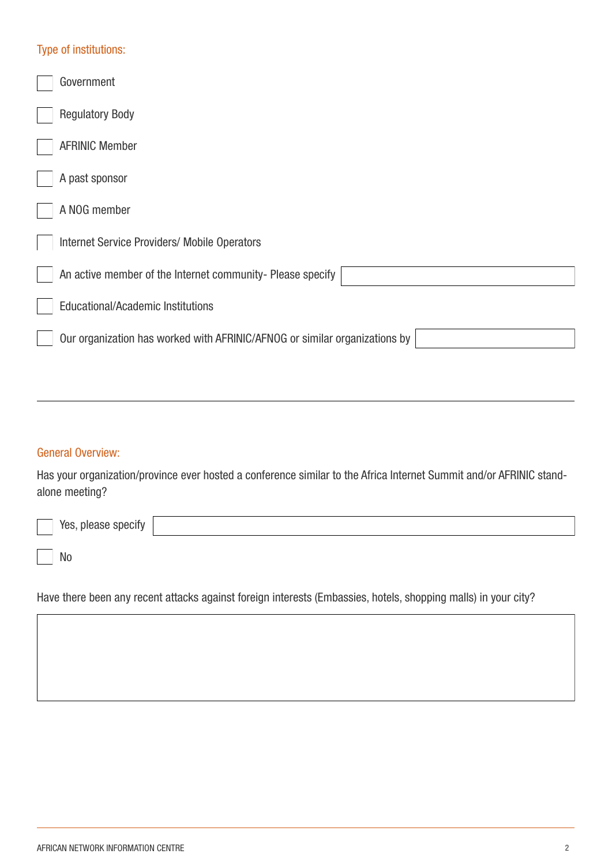### Type of institutions:

| Government                                                                 |
|----------------------------------------------------------------------------|
| <b>Regulatory Body</b>                                                     |
| <b>AFRINIC Member</b>                                                      |
| A past sponsor                                                             |
| A NOG member                                                               |
| <b>Internet Service Providers/ Mobile Operators</b>                        |
| An active member of the Internet community- Please specify                 |
| <b>Educational/Academic Institutions</b>                                   |
| Our organization has worked with AFRINIC/AFNOG or similar organizations by |
|                                                                            |

#### General Overview:

Has your organization/province ever hosted a conference similar to the Africa Internet Summit and/or AFRINIC standalone meeting?

| Yes, please specify |  |
|---------------------|--|
| N <sub>0</sub>      |  |

Have there been any recent attacks against foreign interests (Embassies, hotels, shopping malls) in your city?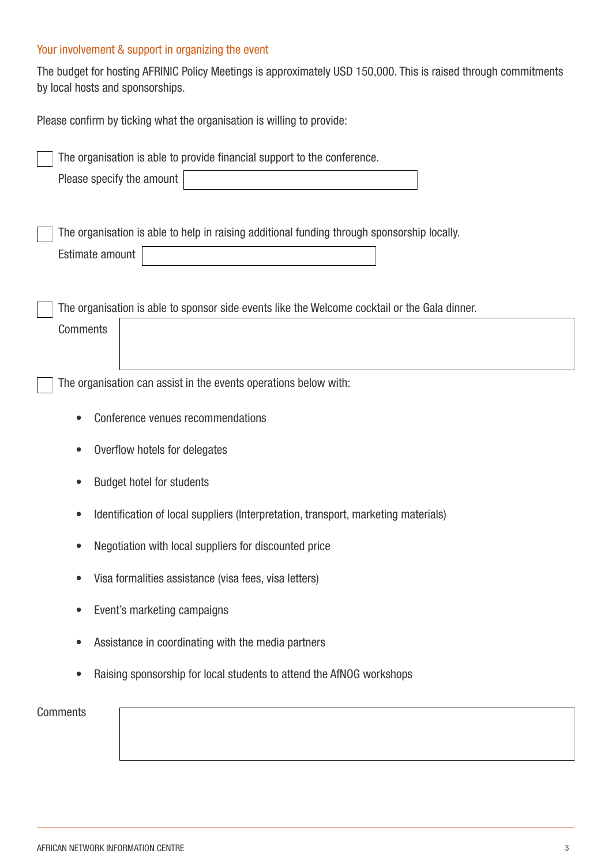### Your involvement & support in organizing the event

The budget for hosting AFRINIC Policy Meetings is approximately USD 150,000. This is raised through commitments by local hosts and sponsorships.

Please confirm by ticking what the organisation is willing to provide:

| The organisation is able to provide financial support to the conference.<br>Please specify the amount          |  |  |  |
|----------------------------------------------------------------------------------------------------------------|--|--|--|
| The organisation is able to help in raising additional funding through sponsorship locally.<br>Estimate amount |  |  |  |
| The organisation is able to sponsor side events like the Welcome cocktail or the Gala dinner.                  |  |  |  |
| <b>Comments</b>                                                                                                |  |  |  |
| The organisation can assist in the events operations below with:                                               |  |  |  |
| Conference venues recommendations<br>$\bullet$                                                                 |  |  |  |
| Overflow hotels for delegates<br>$\bullet$                                                                     |  |  |  |
| <b>Budget hotel for students</b><br>$\bullet$                                                                  |  |  |  |
| Identification of local suppliers (Interpretation, transport, marketing materials)<br>$\bullet$                |  |  |  |
| Negotiation with local suppliers for discounted price<br>$\bullet$                                             |  |  |  |
| Visa formalities assistance (visa fees, visa letters)<br>$\bullet$                                             |  |  |  |
| Event's marketing campaigns<br>$\bullet$                                                                       |  |  |  |
| Assistance in coordinating with the media partners<br>$\bullet$                                                |  |  |  |
| Raising sponsorship for local students to attend the AfNOG workshops                                           |  |  |  |
| Comments                                                                                                       |  |  |  |